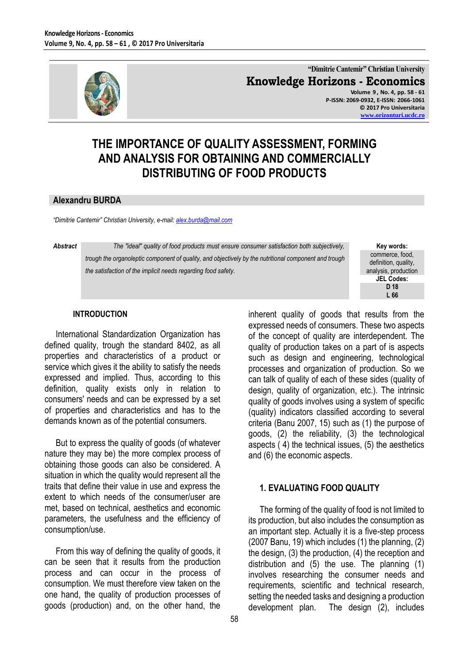

**"Dimitrie Cantemir" Christian University Knowledge Horizons - Economics Volume 9 , No. 4, pp. 58 - 61 P-ISSN: 2069-0932, E-ISSN: 2066-1061**

**© 2017 Pro Universitaria [www.orizonturi.ucdc.ro](http://www.orizonturi.ucdc.ro/)**

# **THE IMPORTANCE OF QUALITY ASSESSMENT, FORMING AND ANALYSIS FOR OBTAINING AND COMMERCIALLY DISTRIBUTING OF FOOD PRODUCTS**

#### **Alexandru BURDA**

*"Dimitrie Cantemir" Christian University, e-mail[: alex.burda@mail.com](mailto:alex.burda@mail.com)*

*Abstract The "ideal" quality of food products must ensure consumer satisfaction both subjectively, trough the organoleptic component of quality, and objectively by the nutritional component and trough the satisfaction of the implicit needs regarding food safety.*

#### **Key words:** commerce, food, definition, quality, analysis, production **JEL Codes: D 18 L 66**

#### **INTRODUCTION**

International Standardization Organization has defined quality, trough the standard 8402, as all properties and characteristics of a product or service which gives it the ability to satisfy the needs expressed and implied. Thus, according to this definition, quality exists only in relation to consumers' needs and can be expressed by a set of properties and characteristics and has to the demands known as of the potential consumers.

But to express the quality of goods (of whatever nature they may be) the more complex process of obtaining those goods can also be considered. A situation in which the quality would represent all the traits that define their value in use and express the extent to which needs of the consumer/user are met, based on technical, aesthetics and economic parameters, the usefulness and the efficiency of consumption/use.

From this way of defining the quality of goods, it can be seen that it results from the production process and can occur in the process of consumption. We must therefore view taken on the one hand, the quality of production processes of goods (production) and, on the other hand, the inherent quality of goods that results from the expressed needs of consumers. These two aspects of the concept of quality are interdependent. The quality of production takes on a part of is aspects such as design and engineering, technological processes and organization of production. So we can talk of quality of each of these sides (quality of design, quality of organization, etc.). The intrinsic quality of goods involves using a system of specific (quality) indicators classified according to several criteria (Banu 2007, 15) such as (1) the purpose of goods, (2) the reliability, (3) the technological aspects ( 4) the technical issues, (5) the aesthetics and (6) the economic aspects.

# **1. EVALUATING FOOD QUALITY**

The forming of the quality of food is not limited to its production, but also includes the consumption as an important step. Actually it is a five-step process (2007 Banu, 19) which includes (1) the planning, (2) the design, (3) the production, (4) the reception and distribution and (5) the use. The planning (1) involves researching the consumer needs and requirements, scientific and technical research, setting the needed tasks and designing a production development plan. The design (2), includes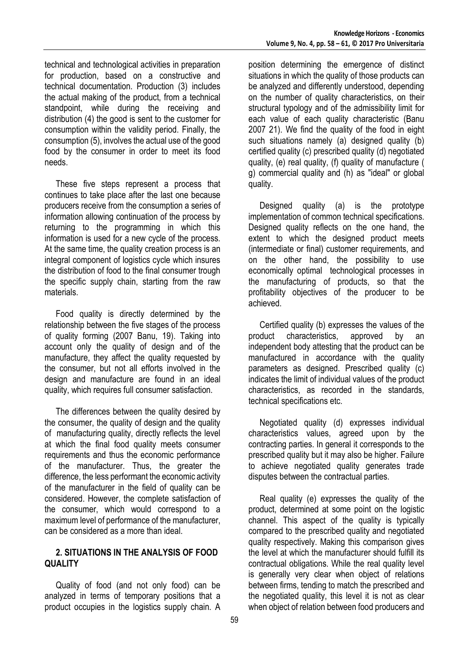technical and technological activities in preparation for production, based on a constructive and technical documentation. Production (3) includes the actual making of the product, from a technical standpoint, while during the receiving and distribution (4) the good is sent to the customer for consumption within the validity period. Finally, the consumption (5), involves the actual use of the good food by the consumer in order to meet its food needs.

These five steps represent a process that continues to take place after the last one because producers receive from the consumption a series of information allowing continuation of the process by returning to the programming in which this information is used for a new cycle of the process. At the same time, the quality creation process is an integral component of logistics cycle which insures the distribution of food to the final consumer trough the specific supply chain, starting from the raw materials.

Food quality is directly determined by the relationship between the five stages of the process of quality forming (2007 Banu, 19). Taking into account only the quality of design and of the manufacture, they affect the quality requested by the consumer, but not all efforts involved in the design and manufacture are found in an ideal quality, which requires full consumer satisfaction.

The differences between the quality desired by the consumer, the quality of design and the quality of manufacturing quality, directly reflects the level at which the final food quality meets consumer requirements and thus the economic performance of the manufacturer. Thus, the greater the difference, the less performant the economic activity of the manufacturer in the field of quality can be considered. However, the complete satisfaction of the consumer, which would correspond to a maximum level of performance of the manufacturer, can be considered as a more than ideal.

### **2. SITUATIONS IN THE ANALYSIS OF FOOD QUALITY**

Quality of food (and not only food) can be analyzed in terms of temporary positions that a product occupies in the logistics supply chain. A

position determining the emergence of distinct situations in which the quality of those products can be analyzed and differently understood, depending on the number of quality characteristics, on their structural typology and of the admissibility limit for each value of each quality characteristic (Banu 2007 21). We find the quality of the food in eight such situations namely (a) designed quality (b) certified quality (c) prescribed quality (d) negotiated quality, (e) real quality, (f) quality of manufacture ( g) commercial quality and (h) as "ideal" or global quality.

Designed quality (a) is the prototype implementation of common technical specifications. Designed quality reflects on the one hand, the extent to which the designed product meets (intermediate or final) customer requirements, and on the other hand, the possibility to use economically optimal technological processes in the manufacturing of products, so that the profitability objectives of the producer to be achieved.

Certified quality (b) expresses the values of the product characteristics, approved by an independent body attesting that the product can be manufactured in accordance with the quality parameters as designed. Prescribed quality (c) indicates the limit of individual values of the product characteristics, as recorded in the standards, technical specifications etc.

Negotiated quality (d) expresses individual characteristics values, agreed upon by the contracting parties. In general it corresponds to the prescribed quality but it may also be higher. Failure to achieve negotiated quality generates trade disputes between the contractual parties.

Real quality (e) expresses the quality of the product, determined at some point on the logistic channel. This aspect of the quality is typically compared to the prescribed quality and negotiated quality respectively. Making this comparison gives the level at which the manufacturer should fulfill its contractual obligations. While the real quality level is generally very clear when object of relations between firms, tending to match the prescribed and the negotiated quality, this level it is not as clear when object of relation between food producers and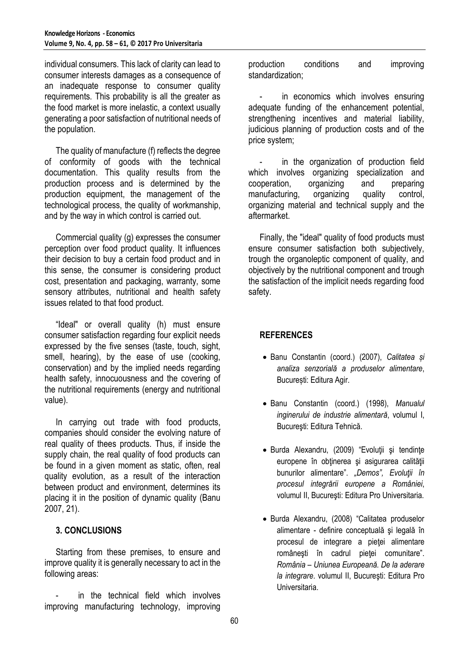individual consumers. This lack of clarity can lead to consumer interests damages as a consequence of an inadequate response to consumer quality requirements. This probability is all the greater as the food market is more inelastic, a context usually generating a poor satisfaction of nutritional needs of the population.

The quality of manufacture (f) reflects the degree of conformity of goods with the technical documentation. This quality results from the production process and is determined by the production equipment, the management of the technological process, the quality of workmanship, and by the way in which control is carried out.

Commercial quality (g) expresses the consumer perception over food product quality. It influences their decision to buy a certain food product and in this sense, the consumer is considering product cost, presentation and packaging, warranty, some sensory attributes, nutritional and health safety issues related to that food product.

"Ideal" or overall quality (h) must ensure consumer satisfaction regarding four explicit needs expressed by the five senses (taste, touch, sight, smell, hearing), by the ease of use (cooking, conservation) and by the implied needs regarding health safety, innocuousness and the covering of the nutritional requirements (energy and nutritional value).

In carrying out trade with food products, companies should consider the evolving nature of real quality of thees products. Thus, if inside the supply chain, the real quality of food products can be found in a given moment as static, often, real quality evolution, as a result of the interaction between product and environment, determines its placing it in the position of dynamic quality (Banu 2007, 21).

# **3. CONCLUSIONS**

Starting from these premises, to ensure and improve quality it is generally necessary to act in the following areas:

in the technical field which involves improving manufacturing technology, improving production conditions and improving standardization;

in economics which involves ensuring adequate funding of the enhancement potential, strengthening incentives and material liability, judicious planning of production costs and of the price system;

- in the organization of production field which involves organizing specialization and cooperation, organizing and preparing manufacturing, organizing quality control, organizing material and technical supply and the aftermarket.

Finally, the "ideal" quality of food products must ensure consumer satisfaction both subjectively, trough the organoleptic component of quality, and objectively by the nutritional component and trough the satisfaction of the implicit needs regarding food safety.

# **REFERENCES**

- Banu Constantin (coord.) (2007), *Calitatea și analiza senzorială a produselor alimentare*, București: Editura Agir.
- Banu Constantin (coord.) (1998), *Manualul inginerului de industrie alimentară*, volumul I, Bucureşti: Editura Tehnică.
- Burda Alexandru, (2009) "Evoluţii şi tendinţe europene în obținerea și asigurarea calității bunurilor alimentare". *"Demos", Evoluţii în procesul integrării europene a României*, volumul II, Bucureşti: Editura Pro Universitaria.
- Burda Alexandru, (2008) "Calitatea produselor alimentare - definire conceptuală şi legală în procesul de integrare a pieţei alimentare româneşti în cadrul pieţei comunitare". *România – Uniunea Europeană. De la aderare la integrare*. volumul II, Bucureşti: Editura Pro Universitaria.